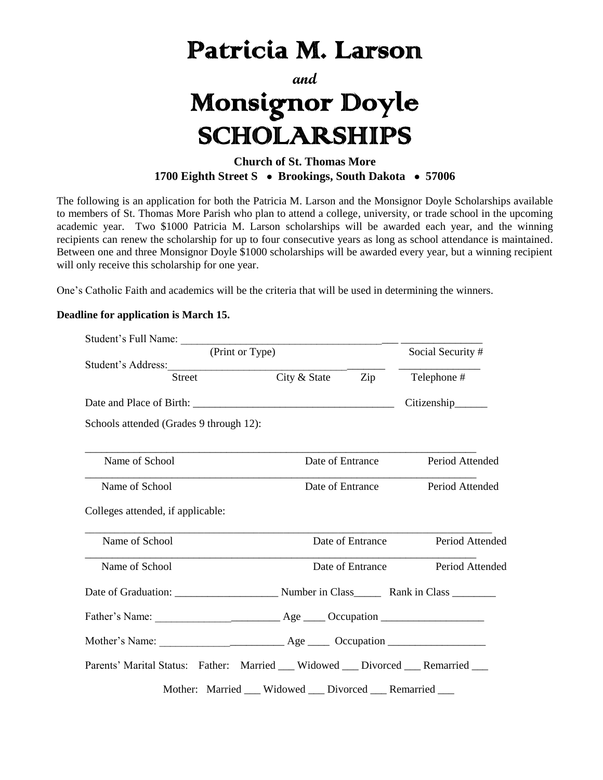## Patricia M. Larson

**and**

## Monsignor Doyle SCHOLARSHIPS

## **Church of St. Thomas More 1700 Eighth Street S Brookings, South Dakota 57006**

The following is an application for both the Patricia M. Larson and the Monsignor Doyle Scholarships available to members of St. Thomas More Parish who plan to attend a college, university, or trade school in the upcoming academic year. Two \$1000 Patricia M. Larson scholarships will be awarded each year, and the winning recipients can renew the scholarship for up to four consecutive years as long as school attendance is maintained. Between one and three Monsignor Doyle \$1000 scholarships will be awarded every year, but a winning recipient will only receive this scholarship for one year.

One's Catholic Faith and academics will be the criteria that will be used in determining the winners.

## **Deadline for application is March 15.**

| Student's Full Name:                                                            |                  |                                  |                        |
|---------------------------------------------------------------------------------|------------------|----------------------------------|------------------------|
| (Print or Type)                                                                 |                  | Social Security #                |                        |
| Student's Address:                                                              |                  |                                  |                        |
| <b>Street</b>                                                                   | City & State     | Zip                              | Telephone #            |
|                                                                                 |                  |                                  | Citizenship______      |
| Schools attended (Grades 9 through 12):                                         |                  |                                  |                        |
| Name of School                                                                  | Date of Entrance |                                  | Period Attended        |
| Name of School                                                                  |                  | Date of Entrance                 | <b>Period Attended</b> |
| Colleges attended, if applicable:                                               |                  |                                  |                        |
| Name of School                                                                  | Date of Entrance |                                  | Period Attended        |
| Name of School                                                                  |                  | Date of Entrance Period Attended |                        |
|                                                                                 |                  |                                  |                        |
|                                                                                 |                  |                                  |                        |
|                                                                                 |                  |                                  |                        |
| Parents' Marital Status: Father: Married __ Widowed __ Divorced __ Remarried __ |                  |                                  |                        |
| Mother: Married ___ Widowed ___ Divorced ___ Remarried                          |                  |                                  |                        |